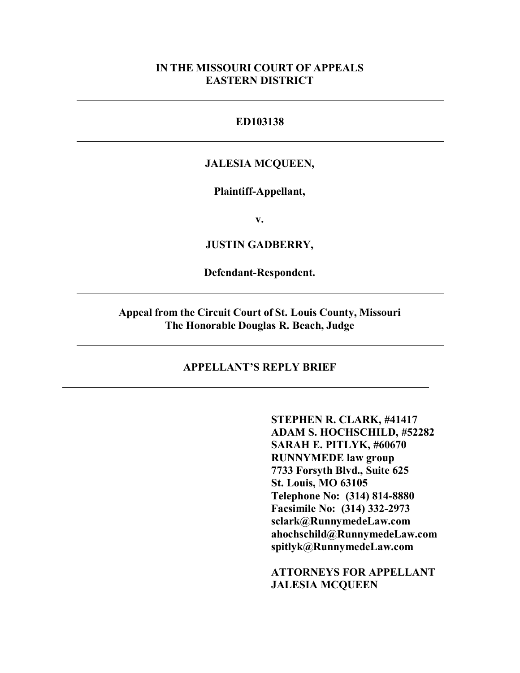### **IN THE MISSOURI COURT OF APPEALS EASTERN DISTRICT**

### **ED103138**

#### **JALESIA MCQUEEN,**

#### **Plaintiff-Appellant,**

**v.**

**JUSTIN GADBERRY,**

**Defendant-Respondent.**

**Appeal from the Circuit Court of St. Louis County, Missouri The Honorable Douglas R. Beach, Judge**

### **APPELLANT'S REPLY BRIEF**

**STEPHEN R. CLARK, #41417 ADAM S. HOCHSCHILD, #52282 SARAH E. PITLYK, #60670 RUNNYMEDE law group 7733 Forsyth Blvd., Suite 625 St. Louis, MO 63105 Telephone No: (314) 814-8880 Facsimile No: (314) 332-2973 sclark@RunnymedeLaw.com ahochschild@RunnymedeLaw.com spitlyk@RunnymedeLaw.com**

**ATTORNEYS FOR APPELLANT JALESIA MCQUEEN**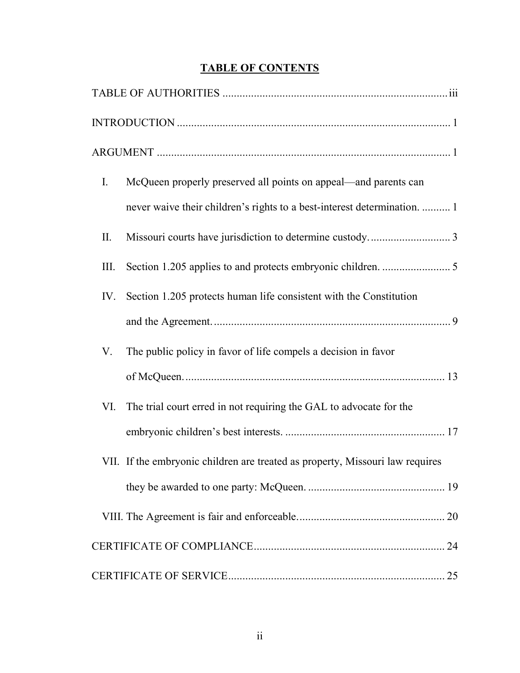## **TABLE OF CONTENTS**

| $I_{\cdot}$ | McQueen properly preserved all points on appeal—and parents can               |  |
|-------------|-------------------------------------------------------------------------------|--|
|             | never waive their children's rights to a best-interest determination.  1      |  |
| II.         |                                                                               |  |
| Ш.          |                                                                               |  |
| IV.         | Section 1.205 protects human life consistent with the Constitution            |  |
|             |                                                                               |  |
| V.          | The public policy in favor of life compels a decision in favor                |  |
|             |                                                                               |  |
| VI.         | The trial court erred in not requiring the GAL to advocate for the            |  |
|             |                                                                               |  |
|             | VII. If the embryonic children are treated as property, Missouri law requires |  |
|             |                                                                               |  |
|             |                                                                               |  |
|             |                                                                               |  |
|             |                                                                               |  |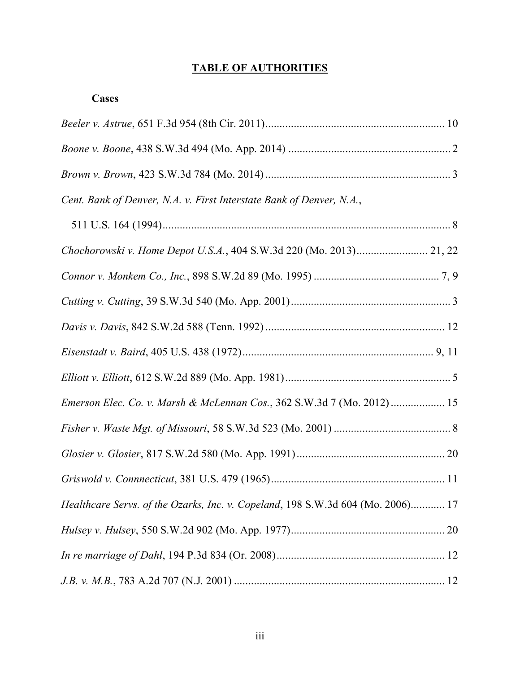## **TABLE OF AUTHORITIES**

### **Cases**

| Cent. Bank of Denver, N.A. v. First Interstate Bank of Denver, N.A.,            |
|---------------------------------------------------------------------------------|
|                                                                                 |
| Chochorowski v. Home Depot U.S.A., 404 S.W.3d 220 (Mo. 2013) 21, 22             |
|                                                                                 |
|                                                                                 |
|                                                                                 |
|                                                                                 |
|                                                                                 |
| Emerson Elec. Co. v. Marsh & McLennan Cos., 362 S.W.3d 7 (Mo. 2012) 15          |
|                                                                                 |
|                                                                                 |
|                                                                                 |
| Healthcare Servs. of the Ozarks, Inc. v. Copeland, 198 S.W.3d 604 (Mo. 2006) 17 |
|                                                                                 |
|                                                                                 |
|                                                                                 |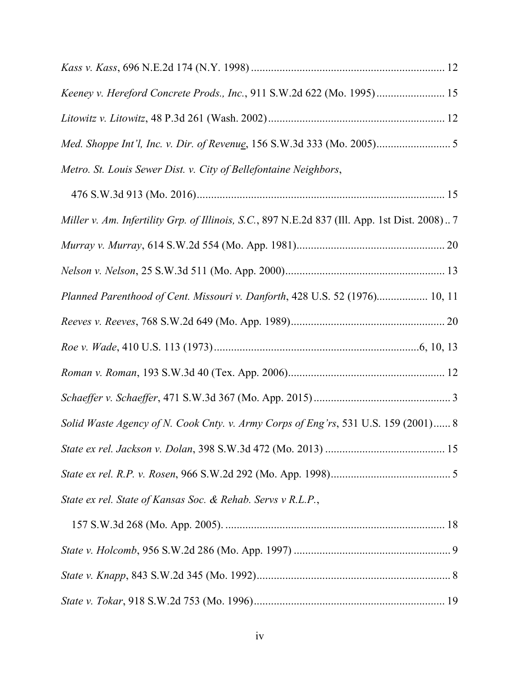| Keeney v. Hereford Concrete Prods., Inc., 911 S.W.2d 622 (Mo. 1995) 15                        |  |
|-----------------------------------------------------------------------------------------------|--|
|                                                                                               |  |
|                                                                                               |  |
| Metro. St. Louis Sewer Dist. v. City of Bellefontaine Neighbors,                              |  |
|                                                                                               |  |
| Miller v. Am. Infertility Grp. of Illinois, S.C., 897 N.E.2d 837 (Ill. App. 1st Dist. 2008) 7 |  |
|                                                                                               |  |
|                                                                                               |  |
| Planned Parenthood of Cent. Missouri v. Danforth, 428 U.S. 52 (1976) 10, 11                   |  |
|                                                                                               |  |
|                                                                                               |  |
|                                                                                               |  |
|                                                                                               |  |
| Solid Waste Agency of N. Cook Cnty. v. Army Corps of Eng'rs, 531 U.S. 159 (2001) 8            |  |
|                                                                                               |  |
|                                                                                               |  |
| State ex rel. State of Kansas Soc. & Rehab. Servs v R.L.P.,                                   |  |
|                                                                                               |  |
|                                                                                               |  |
|                                                                                               |  |
|                                                                                               |  |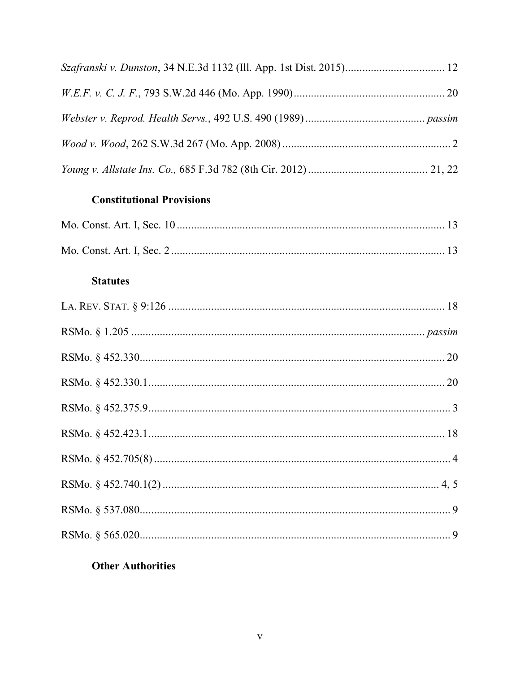### **Constitutional Provisions**

### **Statutes**

### **Other Authorities**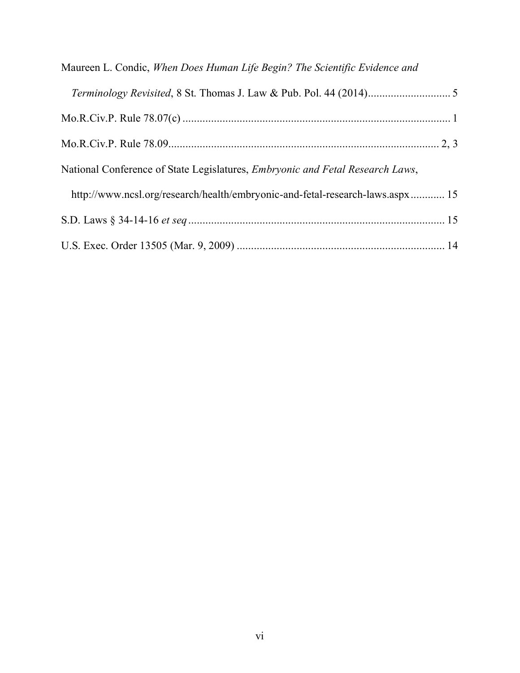| Maureen L. Condic, When Does Human Life Begin? The Scientific Evidence and            |  |
|---------------------------------------------------------------------------------------|--|
|                                                                                       |  |
|                                                                                       |  |
|                                                                                       |  |
| National Conference of State Legislatures, <i>Embryonic and Fetal Research Laws</i> , |  |
| http://www.ncsl.org/research/health/embryonic-and-fetal-research-laws.aspx 15         |  |
|                                                                                       |  |
|                                                                                       |  |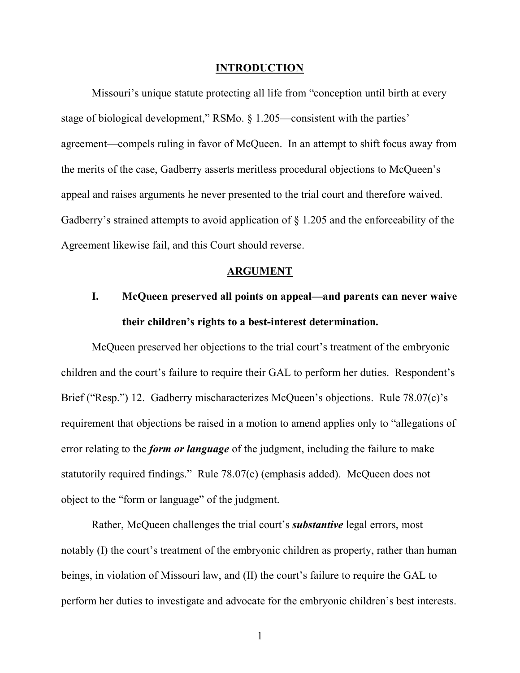#### **INTRODUCTION**

Missouri's unique statute protecting all life from "conception until birth at every stage of biological development," RSMo. § 1.205—consistent with the parties' agreement—compels ruling in favor of McQueen. In an attempt to shift focus away from the merits of the case, Gadberry asserts meritless procedural objections to McQueen's appeal and raises arguments he never presented to the trial court and therefore waived. Gadberry's strained attempts to avoid application of § 1.205 and the enforceability of the Agreement likewise fail, and this Court should reverse.

### **ARGUMENT**

# **I. McQueen preserved all points on appeal—and parents can never waive their children's rights to a best-interest determination.**

McQueen preserved her objections to the trial court's treatment of the embryonic children and the court's failure to require their GAL to perform her duties. Respondent's Brief ("Resp.") 12. Gadberry mischaracterizes McQueen's objections. Rule 78.07(c)'s requirement that objections be raised in a motion to amend applies only to "allegations of error relating to the *form or language* of the judgment, including the failure to make statutorily required findings." Rule 78.07(c) (emphasis added). McQueen does not object to the "form or language" of the judgment.

Rather, McQueen challenges the trial court's *substantive* legal errors, most notably (I) the court's treatment of the embryonic children as property, rather than human beings, in violation of Missouri law, and (II) the court's failure to require the GAL to perform her duties to investigate and advocate for the embryonic children's best interests.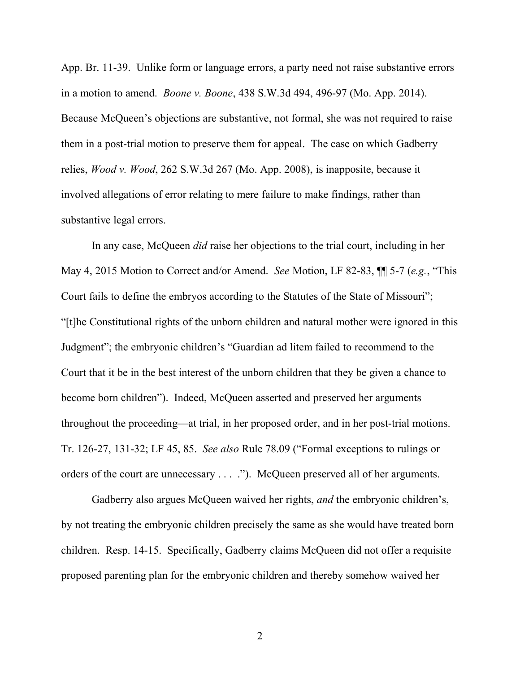App. Br. 11-39. Unlike form or language errors, a party need not raise substantive errors in a motion to amend. *Boone v. Boone*, 438 S.W.3d 494, 496-97 (Mo. App. 2014). Because McQueen's objections are substantive, not formal, she was not required to raise them in a post-trial motion to preserve them for appeal. The case on which Gadberry relies, *Wood v. Wood*, 262 S.W.3d 267 (Mo. App. 2008), is inapposite, because it involved allegations of error relating to mere failure to make findings, rather than substantive legal errors.

In any case, McQueen *did* raise her objections to the trial court, including in her May 4, 2015 Motion to Correct and/or Amend. *See* Motion, LF 82-83, ¶¶ 5-7 (*e.g.*, "This Court fails to define the embryos according to the Statutes of the State of Missouri"; "[t]he Constitutional rights of the unborn children and natural mother were ignored in this Judgment"; the embryonic children's "Guardian ad litem failed to recommend to the Court that it be in the best interest of the unborn children that they be given a chance to become born children"). Indeed, McQueen asserted and preserved her arguments throughout the proceeding—at trial, in her proposed order, and in her post-trial motions. Tr. 126-27, 131-32; LF 45, 85. *See also* Rule 78.09 ("Formal exceptions to rulings or orders of the court are unnecessary . . . ."). McQueen preserved all of her arguments.

Gadberry also argues McQueen waived her rights, *and* the embryonic children's, by not treating the embryonic children precisely the same as she would have treated born children. Resp. 14-15. Specifically, Gadberry claims McQueen did not offer a requisite proposed parenting plan for the embryonic children and thereby somehow waived her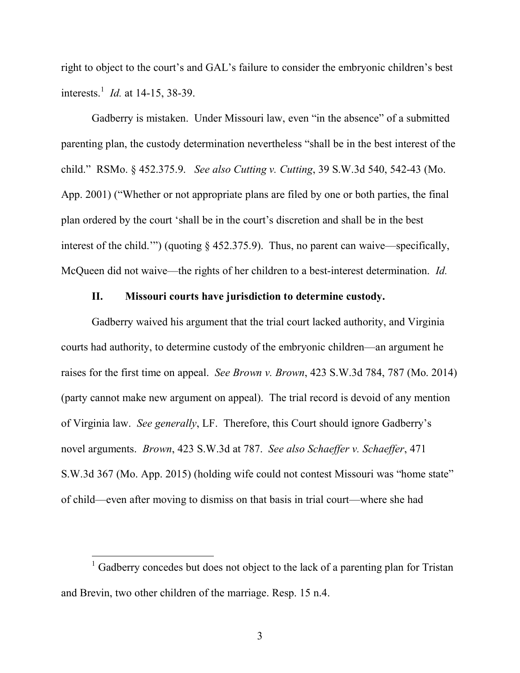right to object to the court's and GAL's failure to consider the embryonic children's best interests.<sup>1</sup> *Id.* at 14-15, 38-39.

Gadberry is mistaken. Under Missouri law, even "in the absence" of a submitted parenting plan, the custody determination nevertheless "shall be in the best interest of the child." RSMo. § 452.375.9. *See also Cutting v. Cutting*, 39 S.W.3d 540, 542-43 (Mo. App. 2001) ("Whether or not appropriate plans are filed by one or both parties, the final plan ordered by the court 'shall be in the court's discretion and shall be in the best interest of the child.'") (quoting § 452.375.9). Thus, no parent can waive—specifically, McQueen did not waive—the rights of her children to a best-interest determination. *Id.*

### **II. Missouri courts have jurisdiction to determine custody.**

Gadberry waived his argument that the trial court lacked authority, and Virginia courts had authority, to determine custody of the embryonic children—an argument he raises for the first time on appeal. *See Brown v. Brown*, 423 S.W.3d 784, 787 (Mo. 2014) (party cannot make new argument on appeal). The trial record is devoid of any mention of Virginia law. *See generally*, LF. Therefore, this Court should ignore Gadberry's novel arguments. *Brown*, 423 S.W.3d at 787. *See also Schaeffer v. Schaeffer*, 471 S.W.3d 367 (Mo. App. 2015) (holding wife could not contest Missouri was "home state" of child—even after moving to dismiss on that basis in trial court—where she had

<sup>&</sup>lt;sup>1</sup> Gadberry concedes but does not object to the lack of a parenting plan for Tristan and Brevin, two other children of the marriage. Resp. 15 n.4.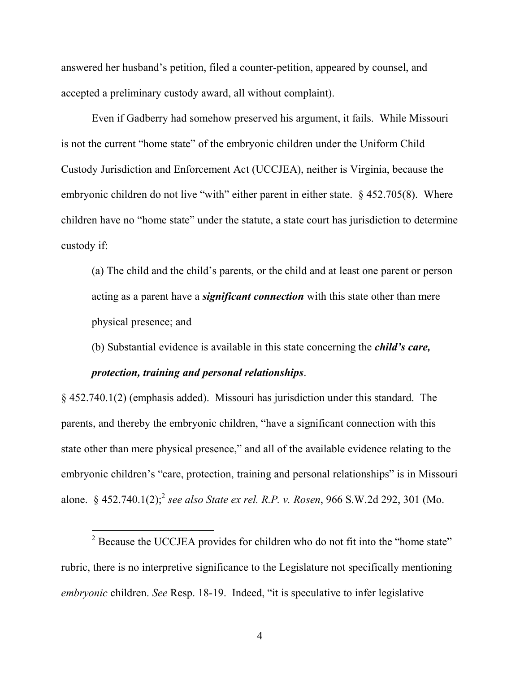answered her husband's petition, filed a counter-petition, appeared by counsel, and accepted a preliminary custody award, all without complaint).

Even if Gadberry had somehow preserved his argument, it fails. While Missouri is not the current "home state" of the embryonic children under the Uniform Child Custody Jurisdiction and Enforcement Act (UCCJEA), neither is Virginia, because the embryonic children do not live "with" either parent in either state. § 452.705(8). Where children have no "home state" under the statute, a state court has jurisdiction to determine custody if:

(a) The child and the child's parents, or the child and at least one parent or person acting as a parent have a *significant connection* with this state other than mere physical presence; and

(b) Substantial evidence is available in this state concerning the *child's care,*

### *protection, training and personal relationships*.

§ 452.740.1(2) (emphasis added). Missouri has jurisdiction under this standard. The parents, and thereby the embryonic children, "have a significant connection with this state other than mere physical presence," and all of the available evidence relating to the embryonic children's "care, protection, training and personal relationships" is in Missouri alone. § 452.740.1(2);<sup>2</sup> see also State ex rel. R.P. v. Rosen, 966 S.W.2d 292, 301 (Mo.

 $2^2$  Because the UCCJEA provides for children who do not fit into the "home state" rubric, there is no interpretive significance to the Legislature not specifically mentioning *embryonic* children. *See* Resp. 18-19. Indeed, "it is speculative to infer legislative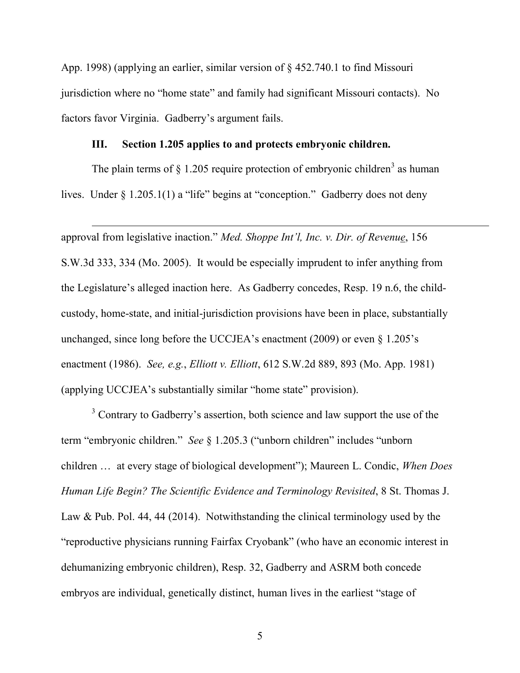App. 1998) (applying an earlier, similar version of § 452.740.1 to find Missouri jurisdiction where no "home state" and family had significant Missouri contacts). No factors favor Virginia. Gadberry's argument fails.

#### **III. Section 1.205 applies to and protects embryonic children.**

The plain terms of  $\S$  1.205 require protection of embryonic children<sup>3</sup> as human lives. Under § 1.205.1(1) a "life" begins at "conception." Gadberry does not deny

approval from legislative inaction." *Med. Shoppe Int'l, Inc. v. Dir. of Revenue*, 156 S.W.3d 333, 334 (Mo. 2005). It would be especially imprudent to infer anything from the Legislature's alleged inaction here. As Gadberry concedes, Resp. 19 n.6, the childcustody, home-state, and initial-jurisdiction provisions have been in place, substantially unchanged, since long before the UCCJEA's enactment (2009) or even § 1.205's enactment (1986). *See, e.g.*, *Elliott v. Elliott*, 612 S.W.2d 889, 893 (Mo. App. 1981) (applying UCCJEA's substantially similar "home state" provision).

<sup>3</sup> Contrary to Gadberry's assertion, both science and law support the use of the term "embryonic children." *See* § 1.205.3 ("unborn children" includes "unborn children … at every stage of biological development"); Maureen L. Condic, *When Does Human Life Begin? The Scientific Evidence and Terminology Revisited*, 8 St. Thomas J. Law & Pub. Pol. 44, 44 (2014). Notwithstanding the clinical terminology used by the "reproductive physicians running Fairfax Cryobank" (who have an economic interest in dehumanizing embryonic children), Resp. 32, Gadberry and ASRM both concede embryos are individual, genetically distinct, human lives in the earliest "stage of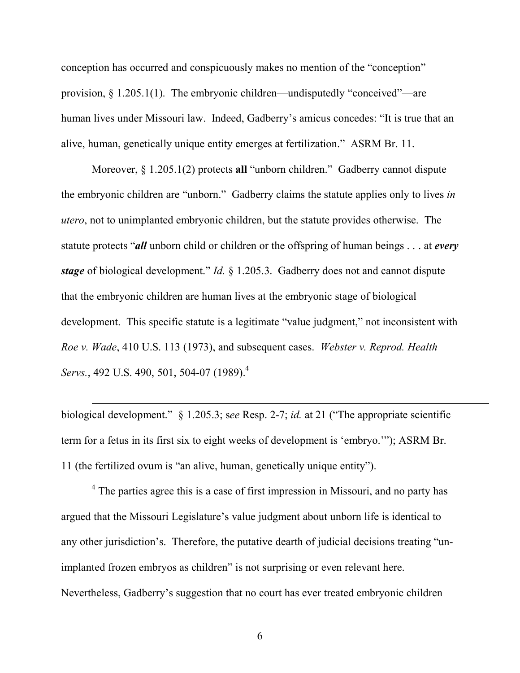conception has occurred and conspicuously makes no mention of the "conception" provision,  $\S 1.205.1(1)$ . The embryonic children—undisputedly "conceived"—are human lives under Missouri law. Indeed, Gadberry's amicus concedes: "It is true that an alive, human, genetically unique entity emerges at fertilization." ASRM Br. 11.

Moreover, § 1.205.1(2) protects **all** "unborn children." Gadberry cannot dispute the embryonic children are "unborn." Gadberry claims the statute applies only to lives *in utero*, not to unimplanted embryonic children, but the statute provides otherwise. The statute protects "*all* unborn child or children or the offspring of human beings . . . at *every stage* of biological development." *Id.* § 1.205.3. Gadberry does not and cannot dispute that the embryonic children are human lives at the embryonic stage of biological development. This specific statute is a legitimate "value judgment," not inconsistent with *Roe v. Wade*, 410 U.S. 113 (1973), and subsequent cases. *Webster v. Reprod. Health Servs.*, 492 U.S. 490, 501, 504-07 (1989).<sup>4</sup>

biological development." § 1.205.3; s*ee* Resp. 2-7; *id.* at 21 ("The appropriate scientific term for a fetus in its first six to eight weeks of development is 'embryo.'"); ASRM Br. 11 (the fertilized ovum is "an alive, human, genetically unique entity").

<sup>4</sup> The parties agree this is a case of first impression in Missouri, and no party has argued that the Missouri Legislature's value judgment about unborn life is identical to any other jurisdiction's. Therefore, the putative dearth of judicial decisions treating "unimplanted frozen embryos as children" is not surprising or even relevant here. Nevertheless, Gadberry's suggestion that no court has ever treated embryonic children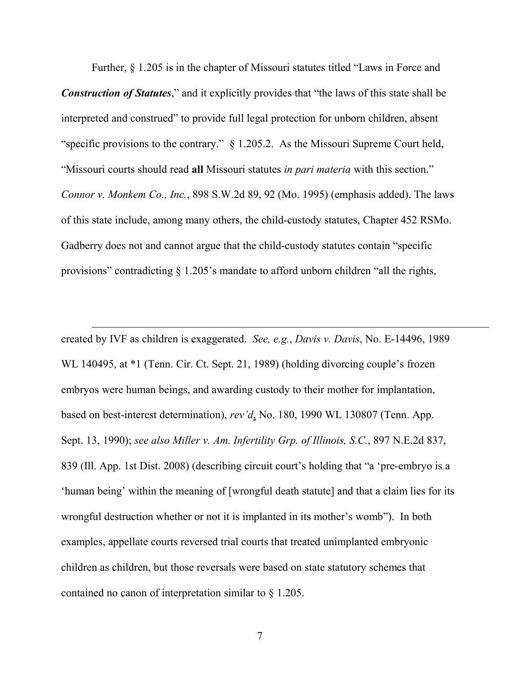Further, § 1.205 is in the chapter of Missouri statutes titled "Laws in Force and

*Construction of Statutes*," and it explicitly provides that "the laws of this state shall be interpreted and construed" to provide full legal protection for unborn children, absent "specific provisions to the contrary." § 1.205.2. As the Missouri Supreme Court held, "Missouri courts should read **all** Missouri statutes *in pari materia* with this section." *Connor v. Monkem Co., Inc.*, 898 S.W.2d 89, 92 (Mo. 1995) (emphasis added). The laws of this state include, among many others, the child-custody statutes, Chapter 452 RSMo. Gadberry does not and cannot argue that the child-custody statutes contain "specific provisions" contradicting § 1.205's mandate to afford unborn children "all the rights,

created by IVF as children is exaggerated. *See, e.g.*, *Davis v. Davis*, No. E-14496, 1989 WL 140495, at  $*1$  (Tenn. Cir. Ct. Sept. 21, 1989) (holding divorcing couple's frozen embryos were human beings, and awarding custody to their mother for implantation, based on best-interest determination), *rev'd*, No. 180, 1990 WL 130807 (Tenn. App. Sept. 13, 1990); *see also Miller v. Am. Infertility Grp. of Illinois, S.C.*, 897 N.E.2d 837, 839 (Ill. App. 1st Dist. 2008) (describing circuit court's holding that "a 'pre-embryo is a 'human being' within the meaning of [wrongful death statute] and that a claim lies for its wrongful destruction whether or not it is implanted in its mother's womb"). In both examples, appellate courts reversed trial courts that treated unimplanted embryonic children as children, but those reversals were based on state statutory schemes that contained no canon of interpretation similar to § 1.205.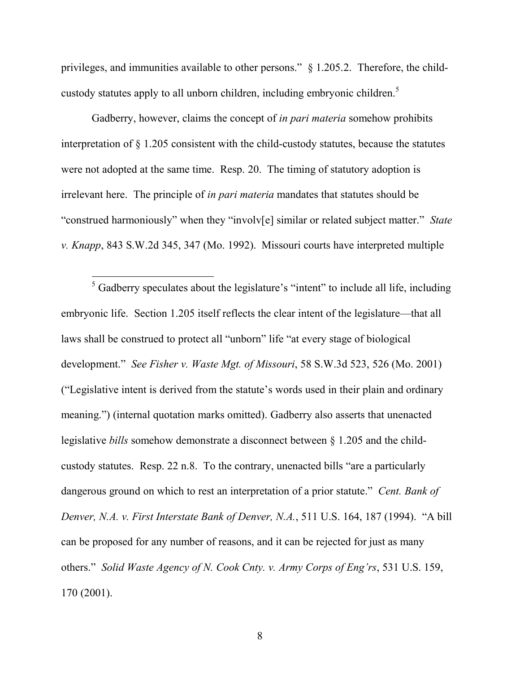privileges, and immunities available to other persons." § 1.205.2. Therefore, the childcustody statutes apply to all unborn children, including embryonic children.<sup>5</sup>

Gadberry, however, claims the concept of *in pari materia* somehow prohibits interpretation of § 1.205 consistent with the child-custody statutes, because the statutes were not adopted at the same time. Resp. 20. The timing of statutory adoption is irrelevant here. The principle of *in pari materia* mandates that statutes should be "construed harmoniously" when they "involv[e] similar or related subject matter." *State v. Knapp*, 843 S.W.2d 345, 347 (Mo. 1992). Missouri courts have interpreted multiple

 $<sup>5</sup>$  Gadberry speculates about the legislature's "intent" to include all life, including</sup> embryonic life. Section 1.205 itself reflects the clear intent of the legislature—that all laws shall be construed to protect all "unborn" life "at every stage of biological development." *See Fisher v. Waste Mgt. of Missouri*, 58 S.W.3d 523, 526 (Mo. 2001) ("Legislative intent is derived from the statute's words used in their plain and ordinary meaning.") (internal quotation marks omitted). Gadberry also asserts that unenacted legislative *bills* somehow demonstrate a disconnect between § 1.205 and the childcustody statutes. Resp. 22 n.8. To the contrary, unenacted bills "are a particularly dangerous ground on which to rest an interpretation of a prior statute." *Cent. Bank of Denver, N.A. v. First Interstate Bank of Denver, N.A.*, 511 U.S. 164, 187 (1994). "A bill can be proposed for any number of reasons, and it can be rejected for just as many others." *Solid Waste Agency of N. Cook Cnty. v. Army Corps of Eng'rs*, 531 U.S. 159, 170 (2001).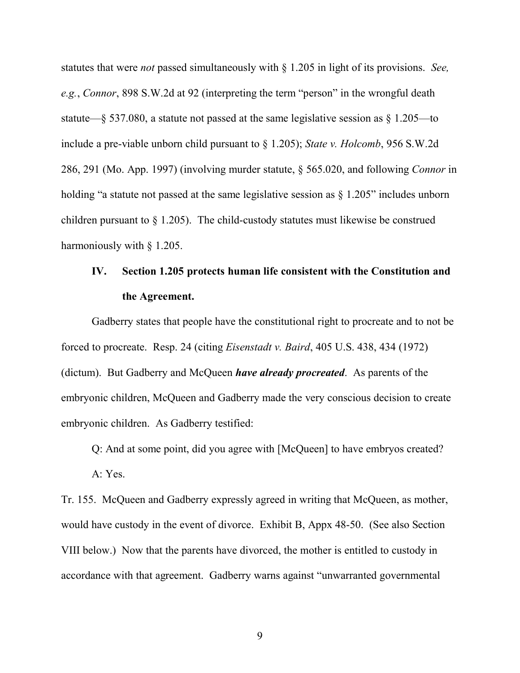statutes that were *not* passed simultaneously with § 1.205 in light of its provisions. *See, e.g.*, *Connor*, 898 S.W.2d at 92 (interpreting the term "person" in the wrongful death statute—§ 537.080, a statute not passed at the same legislative session as § 1.205—to include a pre-viable unborn child pursuant to § 1.205); *State v. Holcomb*, 956 S.W.2d 286, 291 (Mo. App. 1997) (involving murder statute, § 565.020, and following *Connor* in holding "a statute not passed at the same legislative session as  $\S 1.205"$  includes unborn children pursuant to § 1.205). The child-custody statutes must likewise be construed harmoniously with § 1.205.

# **IV. Section 1.205 protects human life consistent with the Constitution and the Agreement.**

Gadberry states that people have the constitutional right to procreate and to not be forced to procreate. Resp. 24 (citing *Eisenstadt v. Baird*, 405 U.S. 438, 434 (1972) (dictum). But Gadberry and McQueen *have already procreated*. As parents of the embryonic children, McQueen and Gadberry made the very conscious decision to create embryonic children. As Gadberry testified:

Q: And at some point, did you agree with [McQueen] to have embryos created?

A: Yes.

Tr. 155. McQueen and Gadberry expressly agreed in writing that McQueen, as mother, would have custody in the event of divorce. Exhibit B, Appx 48-50. (See also Section VIII below.) Now that the parents have divorced, the mother is entitled to custody in accordance with that agreement. Gadberry warns against "unwarranted governmental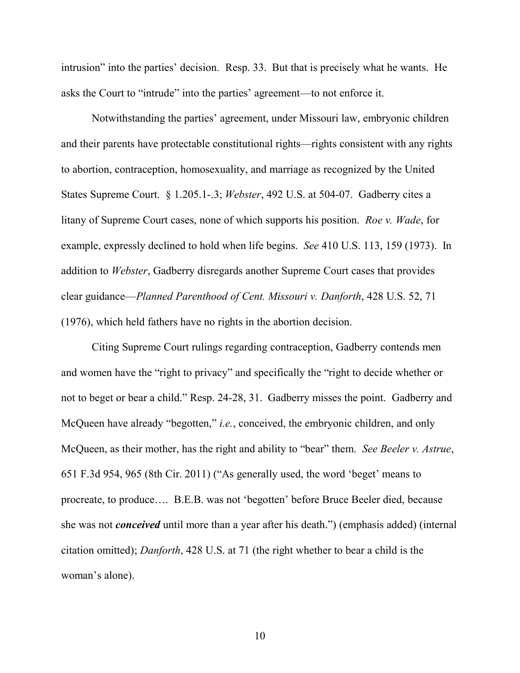intrusion" into the parties' decision. Resp. 33. But that is precisely what he wants. He asks the Court to "intrude" into the parties' agreement—to not enforce it.

Notwithstanding the parties' agreement, under Missouri law, embryonic children and their parents have protectable constitutional rights—rights consistent with any rights to abortion, contraception, homosexuality, and marriage as recognized by the United States Supreme Court. § 1.205.1-.3; *Webster*, 492 U.S. at 504-07. Gadberry cites a litany of Supreme Court cases, none of which supports his position. *Roe v. Wade*, for example, expressly declined to hold when life begins. *See* 410 U.S. 113, 159 (1973). In addition to *Webster*, Gadberry disregards another Supreme Court cases that provides clear guidance—*Planned Parenthood of Cent. Missouri v. Danforth*, 428 U.S. 52, 71 (1976), which held fathers have no rights in the abortion decision.

Citing Supreme Court rulings regarding contraception, Gadberry contends men and women have the "right to privacy" and specifically the "right to decide whether or not to beget or bear a child." Resp. 24-28, 31. Gadberry misses the point. Gadberry and McQueen have already "begotten," *i.e.*, conceived, the embryonic children, and only McQueen, as their mother, has the right and ability to "bear" them. *See Beeler v. Astrue*, 651 F.3d 954, 965 (8th Cir. 2011) ("As generally used, the word 'beget' means to procreate, to produce…. B.E.B. was not 'begotten' before Bruce Beeler died, because she was not *conceived* until more than a year after his death.") (emphasis added) (internal citation omitted); *Danforth*, 428 U.S. at 71 (the right whether to bear a child is the woman's alone).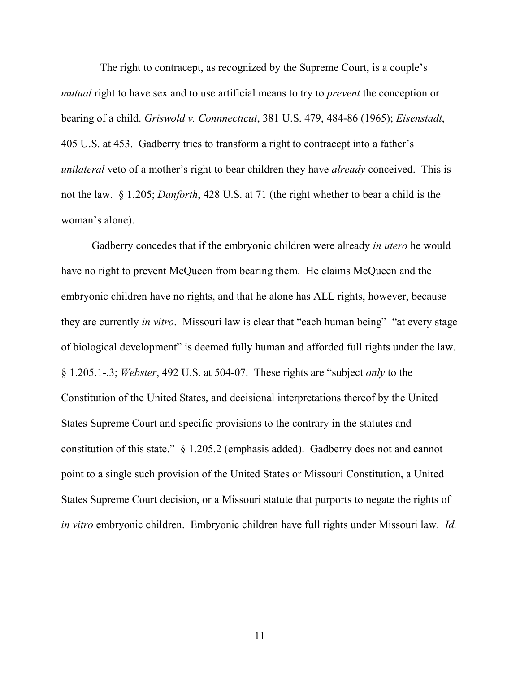The right to contracept, as recognized by the Supreme Court, is a couple's *mutual* right to have sex and to use artificial means to try to *prevent* the conception or bearing of a child. *Griswold v. Connnecticut*, 381 U.S. 479, 484-86 (1965); *Eisenstadt*, 405 U.S. at 453. Gadberry tries to transform a right to contracept into a father's *unilateral* veto of a mother's right to bear children they have *already* conceived. This is not the law. § 1.205; *Danforth*, 428 U.S. at 71 (the right whether to bear a child is the woman's alone).

Gadberry concedes that if the embryonic children were already *in utero* he would have no right to prevent McQueen from bearing them. He claims McQueen and the embryonic children have no rights, and that he alone has ALL rights, however, because they are currently *in vitro*. Missouri law is clear that "each human being" "at every stage of biological development" is deemed fully human and afforded full rights under the law. § 1.205.1-.3; *Webster*, 492 U.S. at 504-07. These rights are "subject *only* to the Constitution of the United States, and decisional interpretations thereof by the United States Supreme Court and specific provisions to the contrary in the statutes and constitution of this state." § 1.205.2 (emphasis added). Gadberry does not and cannot point to a single such provision of the United States or Missouri Constitution, a United States Supreme Court decision, or a Missouri statute that purports to negate the rights of *in vitro* embryonic children. Embryonic children have full rights under Missouri law. *Id.*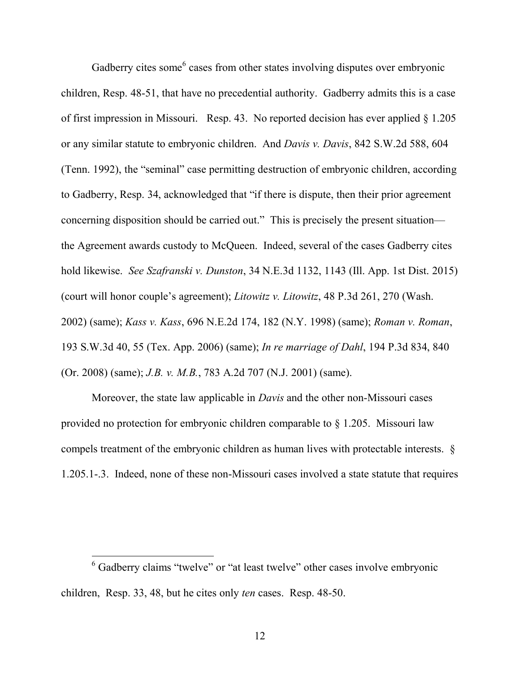Gadberry cites some<sup>6</sup> cases from other states involving disputes over embryonic children, Resp. 48-51, that have no precedential authority. Gadberry admits this is a case of first impression in Missouri. Resp. 43. No reported decision has ever applied § 1.205 or any similar statute to embryonic children. And *Davis v. Davis*, 842 S.W.2d 588, 604 (Tenn. 1992), the "seminal" case permitting destruction of embryonic children, according to Gadberry, Resp. 34, acknowledged that "if there is dispute, then their prior agreement concerning disposition should be carried out." This is precisely the present situation the Agreement awards custody to McQueen. Indeed, several of the cases Gadberry cites hold likewise. *See Szafranski v. Dunston*, 34 N.E.3d 1132, 1143 (Ill. App. 1st Dist. 2015) (court will honor couple's agreement); *Litowitz v. Litowitz*, 48 P.3d 261, 270 (Wash. 2002) (same); *Kass v. Kass*, 696 N.E.2d 174, 182 (N.Y. 1998) (same); *Roman v. Roman*, 193 S.W.3d 40, 55 (Tex. App. 2006) (same); *In re marriage of Dahl*, 194 P.3d 834, 840 (Or. 2008) (same); *J.B. v. M.B.*, 783 A.2d 707 (N.J. 2001) (same).

Moreover, the state law applicable in *Davis* and the other non-Missouri cases provided no protection for embryonic children comparable to § 1.205. Missouri law compels treatment of the embryonic children as human lives with protectable interests. § 1.205.1-.3. Indeed, none of these non-Missouri cases involved a state statute that requires

<sup>&</sup>lt;sup>6</sup> Gadberry claims "twelve" or "at least twelve" other cases involve embryonic children, Resp. 33, 48, but he cites only *ten* cases. Resp. 48-50.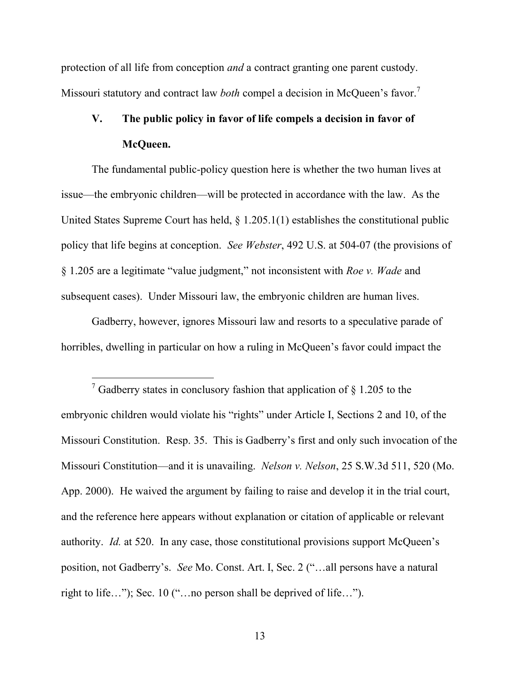protection of all life from conception *and* a contract granting one parent custody. Missouri statutory and contract law *both* compel a decision in McQueen's favor.<sup>7</sup>

# **V. The public policy in favor of life compels a decision in favor of McQueen.**

The fundamental public-policy question here is whether the two human lives at issue—the embryonic children—will be protected in accordance with the law. As the United States Supreme Court has held,  $\S 1.205.1(1)$  establishes the constitutional public policy that life begins at conception. *See Webster*, 492 U.S. at 504-07 (the provisions of § 1.205 are a legitimate "value judgment," not inconsistent with *Roe v. Wade* and subsequent cases). Under Missouri law, the embryonic children are human lives.

Gadberry, however, ignores Missouri law and resorts to a speculative parade of horribles, dwelling in particular on how a ruling in McQueen's favor could impact the

<sup>&</sup>lt;sup>7</sup> Gadberry states in conclusory fashion that application of  $\S$  1.205 to the embryonic children would violate his "rights" under Article I, Sections 2 and 10, of the Missouri Constitution. Resp. 35. This is Gadberry's first and only such invocation of the Missouri Constitution—and it is unavailing. *Nelson v. Nelson*, 25 S.W.3d 511, 520 (Mo. App. 2000). He waived the argument by failing to raise and develop it in the trial court, and the reference here appears without explanation or citation of applicable or relevant authority. *Id.* at 520. In any case, those constitutional provisions support McQueen's position, not Gadberry's. *See* Mo. Const. Art. I, Sec. 2 ("…all persons have a natural right to life…"); Sec. 10 ("…no person shall be deprived of life…").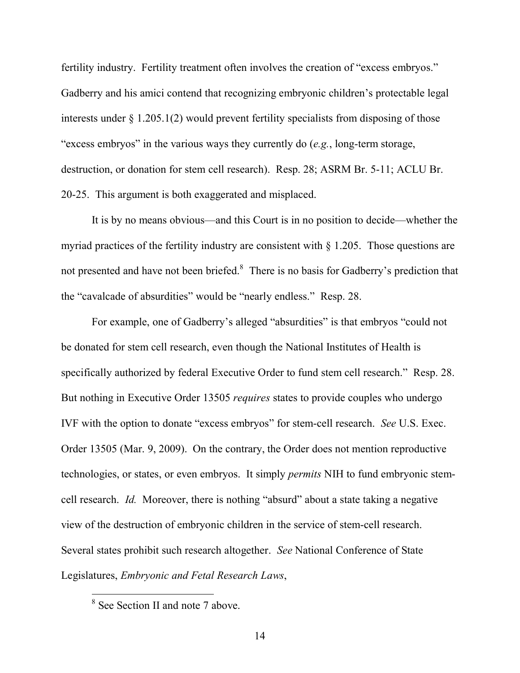fertility industry. Fertility treatment often involves the creation of "excess embryos." Gadberry and his amici contend that recognizing embryonic children's protectable legal interests under  $\S 1.205.1(2)$  would prevent fertility specialists from disposing of those "excess embryos" in the various ways they currently do (*e.g.*, long-term storage, destruction, or donation for stem cell research). Resp. 28; ASRM Br. 5-11; ACLU Br. 20-25. This argument is both exaggerated and misplaced.

It is by no means obvious—and this Court is in no position to decide—whether the myriad practices of the fertility industry are consistent with § 1.205. Those questions are not presented and have not been briefed.<sup>8</sup> There is no basis for Gadberry's prediction that the "cavalcade of absurdities" would be "nearly endless." Resp. 28.

For example, one of Gadberry's alleged "absurdities" is that embryos "could not be donated for stem cell research, even though the National Institutes of Health is specifically authorized by federal Executive Order to fund stem cell research." Resp. 28. But nothing in Executive Order 13505 *requires* states to provide couples who undergo IVF with the option to donate "excess embryos" for stem-cell research. *See* U.S. Exec. Order 13505 (Mar. 9, 2009). On the contrary, the Order does not mention reproductive technologies, or states, or even embryos. It simply *permits* NIH to fund embryonic stemcell research. *Id.* Moreover, there is nothing "absurd" about a state taking a negative view of the destruction of embryonic children in the service of stem-cell research. Several states prohibit such research altogether. *See* National Conference of State Legislatures, *Embryonic and Fetal Research Laws*,

<sup>&</sup>lt;sup>8</sup> See Section II and note 7 above.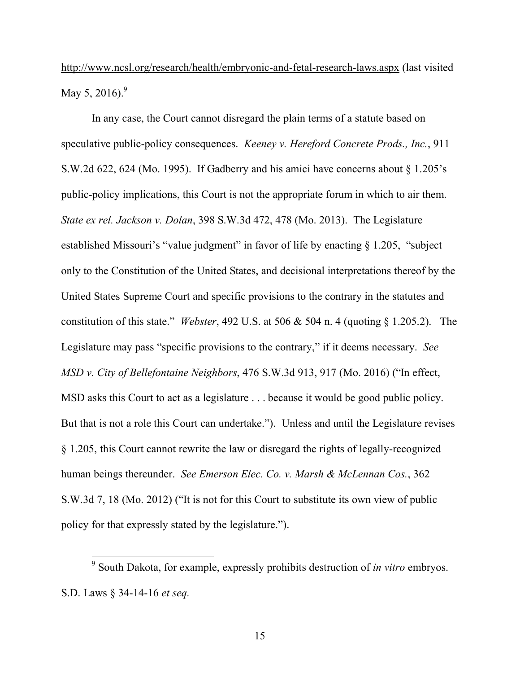http://www.ncsl.org/research/health/embryonic-and-fetal-research-laws.aspx (last visited May 5, 2016).<sup>9</sup>

In any case, the Court cannot disregard the plain terms of a statute based on speculative public-policy consequences. *Keeney v. Hereford Concrete Prods., Inc.*, 911 S.W.2d 622, 624 (Mo. 1995). If Gadberry and his amici have concerns about § 1.205's public-policy implications, this Court is not the appropriate forum in which to air them. *State ex rel. Jackson v. Dolan*, 398 S.W.3d 472, 478 (Mo. 2013). The Legislature established Missouri's "value judgment" in favor of life by enacting § 1.205, "subject only to the Constitution of the United States, and decisional interpretations thereof by the United States Supreme Court and specific provisions to the contrary in the statutes and constitution of this state." *Webster*, 492 U.S. at 506 & 504 n. 4 (quoting § 1.205.2). The Legislature may pass "specific provisions to the contrary," if it deems necessary. *See MSD v. City of Bellefontaine Neighbors*, 476 S.W.3d 913, 917 (Mo. 2016) ("In effect, MSD asks this Court to act as a legislature . . . because it would be good public policy. But that is not a role this Court can undertake."). Unless and until the Legislature revises § 1.205, this Court cannot rewrite the law or disregard the rights of legally-recognized human beings thereunder. *See Emerson Elec. Co. v. Marsh & McLennan Cos.*, 362 S.W.3d 7, 18 (Mo. 2012) ("It is not for this Court to substitute its own view of public policy for that expressly stated by the legislature.").

<sup>9</sup> South Dakota, for example, expressly prohibits destruction of *in vitro* embryos. S.D. Laws § 34-14-16 *et seq.*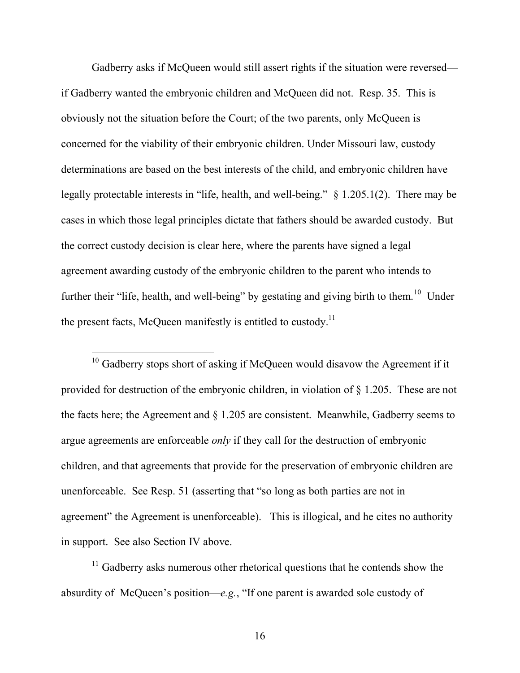Gadberry asks if McQueen would still assert rights if the situation were reversed if Gadberry wanted the embryonic children and McQueen did not. Resp. 35. This is obviously not the situation before the Court; of the two parents, only McQueen is concerned for the viability of their embryonic children. Under Missouri law, custody determinations are based on the best interests of the child, and embryonic children have legally protectable interests in "life, health, and well-being." § 1.205.1(2). There may be cases in which those legal principles dictate that fathers should be awarded custody. But the correct custody decision is clear here, where the parents have signed a legal agreement awarding custody of the embryonic children to the parent who intends to further their "life, health, and well-being" by gestating and giving birth to them.<sup>10</sup> Under the present facts, McQueen manifestly is entitled to custody.<sup>11</sup>

<sup>10</sup> Gadberry stops short of asking if McQueen would disavow the Agreement if it provided for destruction of the embryonic children, in violation of § 1.205. These are not the facts here; the Agreement and § 1.205 are consistent. Meanwhile, Gadberry seems to argue agreements are enforceable *only* if they call for the destruction of embryonic children, and that agreements that provide for the preservation of embryonic children are unenforceable. See Resp. 51 (asserting that "so long as both parties are not in agreement" the Agreement is unenforceable). This is illogical, and he cites no authority in support. See also Section IV above.

 $11$  Gadberry asks numerous other rhetorical questions that he contends show the absurdity of McQueen's position—*e.g.*, "If one parent is awarded sole custody of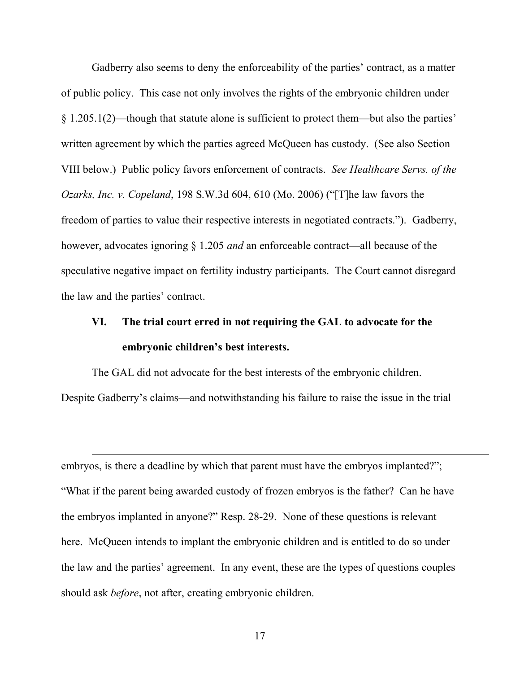Gadberry also seems to deny the enforceability of the parties' contract, as a matter of public policy. This case not only involves the rights of the embryonic children under § 1.205.1(2)—though that statute alone is sufficient to protect them—but also the parties' written agreement by which the parties agreed McQueen has custody. (See also Section VIII below.) Public policy favors enforcement of contracts. *See Healthcare Servs. of the Ozarks, Inc. v. Copeland*, 198 S.W.3d 604, 610 (Mo. 2006) ("[T]he law favors the freedom of parties to value their respective interests in negotiated contracts."). Gadberry, however, advocates ignoring § 1.205 *and* an enforceable contract—all because of the speculative negative impact on fertility industry participants. The Court cannot disregard the law and the parties' contract.

## **VI. The trial court erred in not requiring the GAL to advocate for the embryonic children's best interests.**

The GAL did not advocate for the best interests of the embryonic children. Despite Gadberry's claims—and notwithstanding his failure to raise the issue in the trial

embryos, is there a deadline by which that parent must have the embryos implanted?"; "What if the parent being awarded custody of frozen embryos is the father? Can he have the embryos implanted in anyone?" Resp. 28-29. None of these questions is relevant here. McQueen intends to implant the embryonic children and is entitled to do so under the law and the parties' agreement. In any event, these are the types of questions couples should ask *before*, not after, creating embryonic children.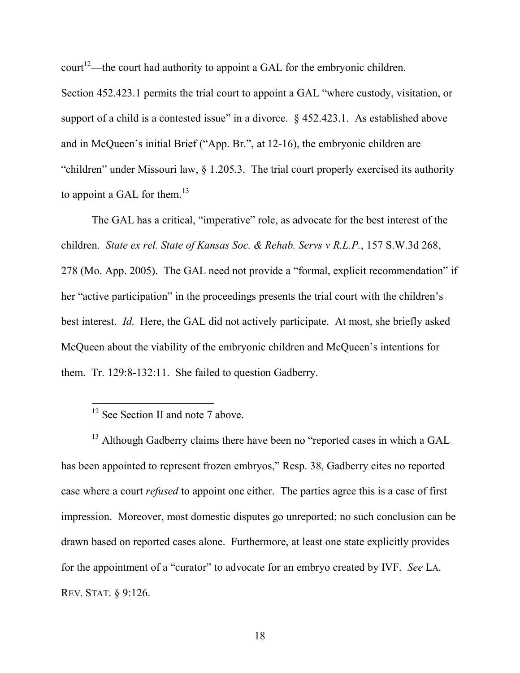court<sup>12</sup>—the court had authority to appoint a GAL for the embryonic children.

Section 452.423.1 permits the trial court to appoint a GAL "where custody, visitation, or support of a child is a contested issue" in a divorce.  $\S$  452.423.1. As established above and in McQueen's initial Brief ("App. Br.", at 12-16), the embryonic children are "children" under Missouri law, § 1.205.3. The trial court properly exercised its authority to appoint a GAL for them.<sup>13</sup>

The GAL has a critical, "imperative" role, as advocate for the best interest of the children. *State ex rel. State of Kansas Soc. & Rehab. Servs v R.L.P.*, 157 S.W.3d 268, 278 (Mo. App. 2005). The GAL need not provide a "formal, explicit recommendation" if her "active participation" in the proceedings presents the trial court with the children's best interest. *Id*. Here, the GAL did not actively participate. At most, she briefly asked McQueen about the viability of the embryonic children and McQueen's intentions for them. Tr. 129:8-132:11. She failed to question Gadberry.

<sup>13</sup> Although Gadberry claims there have been no "reported cases in which a GAL has been appointed to represent frozen embryos," Resp. 38, Gadberry cites no reported case where a court *refused* to appoint one either. The parties agree this is a case of first impression. Moreover, most domestic disputes go unreported; no such conclusion can be drawn based on reported cases alone. Furthermore, at least one state explicitly provides for the appointment of a "curator" to advocate for an embryo created by IVF. *See* LA. REV. STAT. § 9:126.

<sup>&</sup>lt;sup>12</sup> See Section II and note 7 above.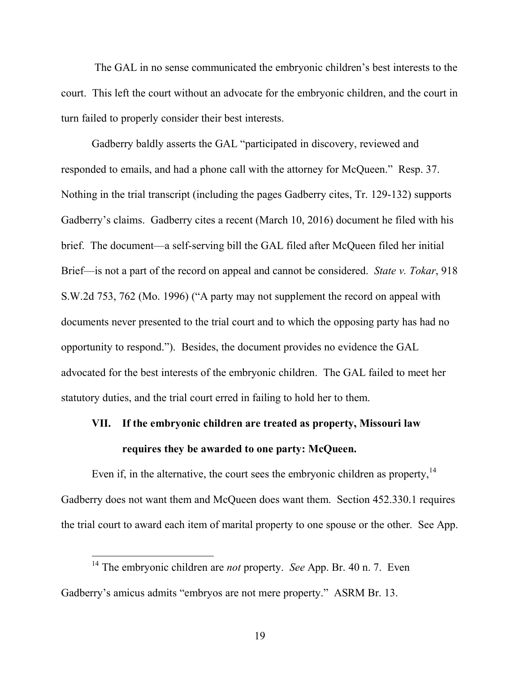The GAL in no sense communicated the embryonic children's best interests to the court. This left the court without an advocate for the embryonic children, and the court in turn failed to properly consider their best interests.

Gadberry baldly asserts the GAL "participated in discovery, reviewed and responded to emails, and had a phone call with the attorney for McQueen." Resp. 37. Nothing in the trial transcript (including the pages Gadberry cites, Tr. 129-132) supports Gadberry's claims. Gadberry cites a recent (March 10, 2016) document he filed with his brief. The document—a self-serving bill the GAL filed after McQueen filed her initial Brief—is not a part of the record on appeal and cannot be considered. *State v. Tokar*, 918 S.W.2d 753, 762 (Mo. 1996) ("A party may not supplement the record on appeal with documents never presented to the trial court and to which the opposing party has had no opportunity to respond."). Besides, the document provides no evidence the GAL advocated for the best interests of the embryonic children. The GAL failed to meet her statutory duties, and the trial court erred in failing to hold her to them.

## **VII. If the embryonic children are treated as property, Missouri law requires they be awarded to one party: McQueen.**

Even if, in the alternative, the court sees the embryonic children as property, $14$ Gadberry does not want them and McQueen does want them. Section 452.330.1 requires the trial court to award each item of marital property to one spouse or the other. See App.

<sup>14</sup> The embryonic children are *not* property. *See* App. Br. 40 n. 7. Even Gadberry's amicus admits "embryos are not mere property." ASRM Br. 13.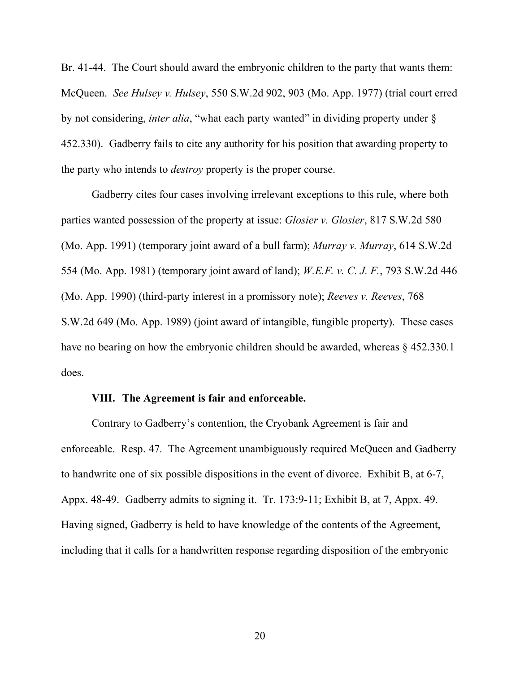Br. 41-44. The Court should award the embryonic children to the party that wants them: McQueen. *See Hulsey v. Hulsey*, 550 S.W.2d 902, 903 (Mo. App. 1977) (trial court erred by not considering, *inter alia*, "what each party wanted" in dividing property under § 452.330). Gadberry fails to cite any authority for his position that awarding property to the party who intends to *destroy* property is the proper course.

Gadberry cites four cases involving irrelevant exceptions to this rule, where both parties wanted possession of the property at issue: *Glosier v. Glosier*, 817 S.W.2d 580 (Mo. App. 1991) (temporary joint award of a bull farm); *Murray v. Murray*, 614 S.W.2d 554 (Mo. App. 1981) (temporary joint award of land); *W.E.F. v. C. J. F.*, 793 S.W.2d 446 (Mo. App. 1990) (third-party interest in a promissory note); *Reeves v. Reeves*, 768 S.W.2d 649 (Mo. App. 1989) (joint award of intangible, fungible property). These cases have no bearing on how the embryonic children should be awarded, whereas  $\S$  452.330.1 does.

### **VIII. The Agreement is fair and enforceable.**

Contrary to Gadberry's contention, the Cryobank Agreement is fair and enforceable. Resp. 47. The Agreement unambiguously required McQueen and Gadberry to handwrite one of six possible dispositions in the event of divorce. Exhibit B, at 6-7, Appx. 48-49. Gadberry admits to signing it. Tr. 173:9-11; Exhibit B, at 7, Appx. 49. Having signed, Gadberry is held to have knowledge of the contents of the Agreement, including that it calls for a handwritten response regarding disposition of the embryonic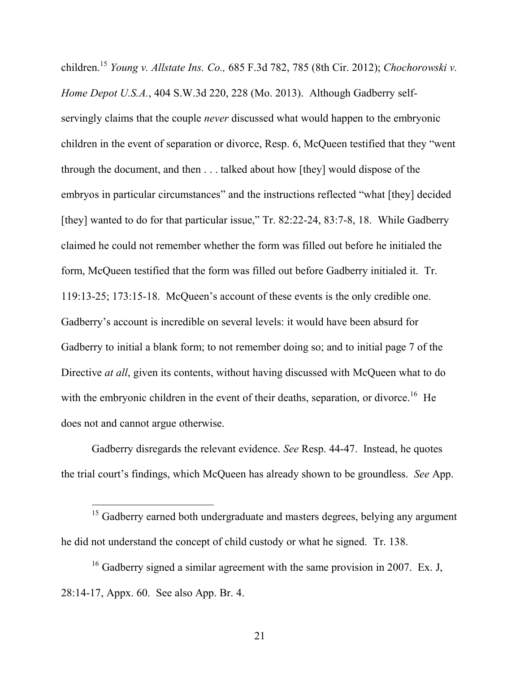children.<sup>15</sup> *Young v. Allstate Ins. Co.,* 685 F.3d 782, 785 (8th Cir. 2012); *Chochorowski v. Home Depot U.S.A.*, 404 S.W.3d 220, 228 (Mo. 2013). Although Gadberry selfservingly claims that the couple *never* discussed what would happen to the embryonic children in the event of separation or divorce, Resp. 6, McQueen testified that they "went through the document, and then . . . talked about how [they] would dispose of the embryos in particular circumstances" and the instructions reflected "what [they] decided [they] wanted to do for that particular issue," Tr. 82:22-24, 83:7-8, 18. While Gadberry claimed he could not remember whether the form was filled out before he initialed the form, McQueen testified that the form was filled out before Gadberry initialed it. Tr. 119:13-25; 173:15-18. McQueen's account of these events is the only credible one. Gadberry's account is incredible on several levels: it would have been absurd for Gadberry to initial a blank form; to not remember doing so; and to initial page 7 of the Directive *at all*, given its contents, without having discussed with McQueen what to do with the embryonic children in the event of their deaths, separation, or divorce.<sup>16</sup> He does not and cannot argue otherwise.

Gadberry disregards the relevant evidence. *See* Resp. 44-47. Instead, he quotes the trial court's findings, which McQueen has already shown to be groundless. *See* App.

<sup>&</sup>lt;sup>15</sup> Gadberry earned both undergraduate and masters degrees, belying any argument he did not understand the concept of child custody or what he signed. Tr. 138.

<sup>&</sup>lt;sup>16</sup> Gadberry signed a similar agreement with the same provision in 2007. Ex. J, 28:14-17, Appx. 60. See also App. Br. 4.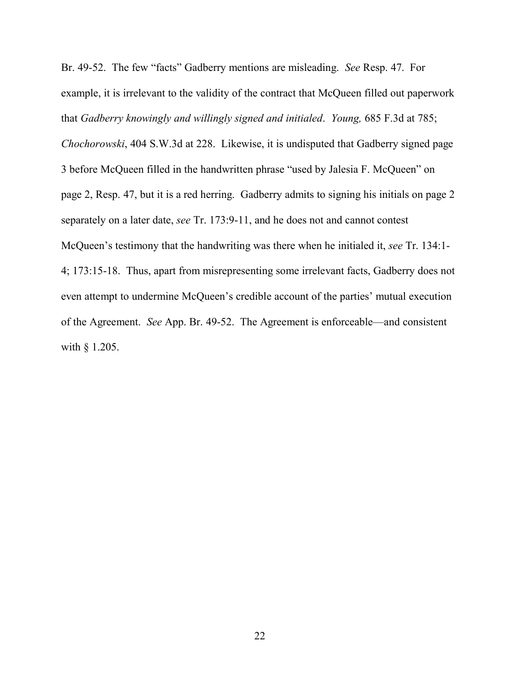Br. 49-52. The few "facts" Gadberry mentions are misleading. *See* Resp. 47. For example, it is irrelevant to the validity of the contract that McQueen filled out paperwork that *Gadberry knowingly and willingly signed and initialed*. *Young,* 685 F.3d at 785;

*Chochorowski*, 404 S.W.3d at 228. Likewise, it is undisputed that Gadberry signed page 3 before McQueen filled in the handwritten phrase "used by Jalesia F. McQueen" on page 2, Resp. 47, but it is a red herring. Gadberry admits to signing his initials on page 2 separately on a later date, *see* Tr. 173:9-11, and he does not and cannot contest McQueen's testimony that the handwriting was there when he initialed it, *see* Tr. 134:1- 4; 173:15-18. Thus, apart from misrepresenting some irrelevant facts, Gadberry does not even attempt to undermine McQueen's credible account of the parties' mutual execution of the Agreement. *See* App. Br. 49-52. The Agreement is enforceable—and consistent with § 1.205.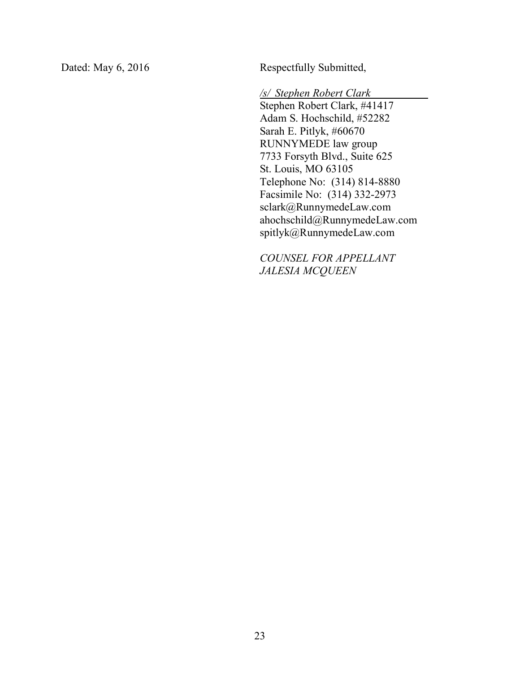Dated: May 6, 2016 Respectfully Submitted,

*/s/ Stephen Robert Clark*

Stephen Robert Clark, #41417 Adam S. Hochschild, #52282 Sarah E. Pitlyk, #60670 RUNNYMEDE law group 7733 Forsyth Blvd., Suite 625 St. Louis, MO 63105 Telephone No: (314) 814-8880 Facsimile No: (314) 332-2973 sclark@RunnymedeLaw.com ahochschild@RunnymedeLaw.com spitlyk@RunnymedeLaw.com

*COUNSEL FOR APPELLANT JALESIA MCQUEEN*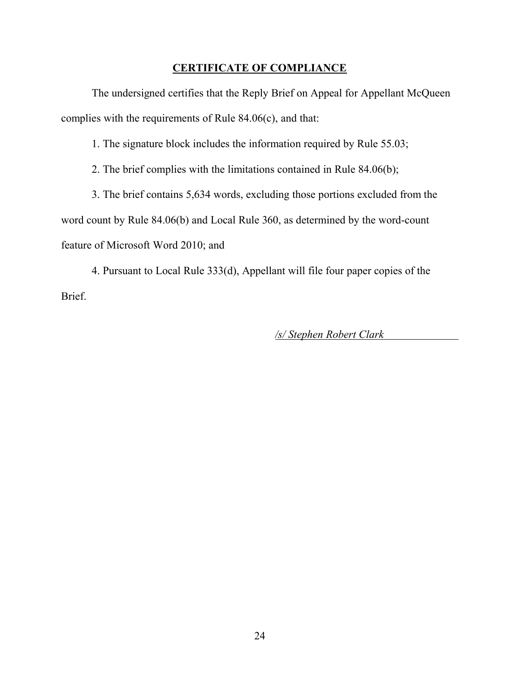### **CERTIFICATE OF COMPLIANCE**

The undersigned certifies that the Reply Brief on Appeal for Appellant McQueen complies with the requirements of Rule 84.06(c), and that:

1. The signature block includes the information required by Rule 55.03;

2. The brief complies with the limitations contained in Rule 84.06(b);

3. The brief contains 5,634 words, excluding those portions excluded from the word count by Rule 84.06(b) and Local Rule 360, as determined by the word-count feature of Microsoft Word 2010; and

4. Pursuant to Local Rule 333(d), Appellant will file four paper copies of the Brief.

*/s/ Stephen Robert Clark*